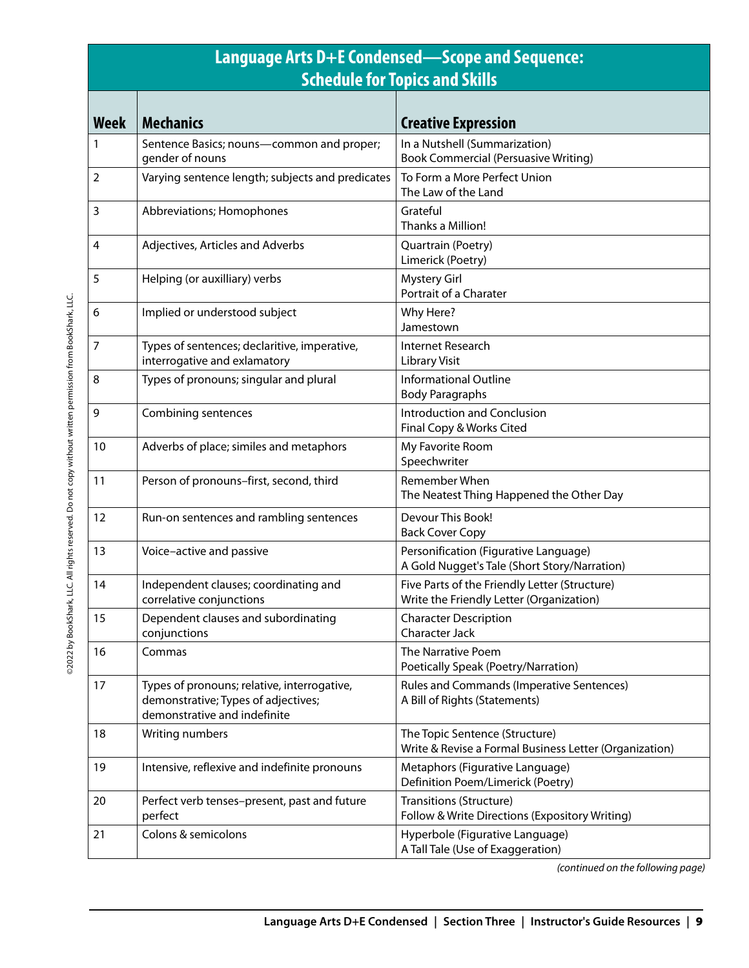| Language Arts D+E Condensed—Scope and Sequence:<br><b>Schedule for Topics and Skills</b> |                                                                                                                    |                                                                                           |
|------------------------------------------------------------------------------------------|--------------------------------------------------------------------------------------------------------------------|-------------------------------------------------------------------------------------------|
| <b>Week</b>                                                                              | <b>Mechanics</b>                                                                                                   | <b>Creative Expression</b>                                                                |
| 1                                                                                        | Sentence Basics; nouns-common and proper;<br>gender of nouns                                                       | In a Nutshell (Summarization)<br><b>Book Commercial (Persuasive Writing)</b>              |
| $\overline{2}$                                                                           | Varying sentence length; subjects and predicates                                                                   | To Form a More Perfect Union<br>The Law of the Land                                       |
| 3                                                                                        | Abbreviations; Homophones                                                                                          | Grateful<br>Thanks a Million!                                                             |
| 4                                                                                        | Adjectives, Articles and Adverbs                                                                                   | Quartrain (Poetry)<br>Limerick (Poetry)                                                   |
| 5                                                                                        | Helping (or auxilliary) verbs                                                                                      | <b>Mystery Girl</b><br>Portrait of a Charater                                             |
| 6                                                                                        | Implied or understood subject                                                                                      | Why Here?<br>Jamestown                                                                    |
| $\overline{7}$                                                                           | Types of sentences; declaritive, imperative,<br>interrogative and exlamatory                                       | Internet Research<br><b>Library Visit</b>                                                 |
| 8                                                                                        | Types of pronouns; singular and plural                                                                             | <b>Informational Outline</b><br><b>Body Paragraphs</b>                                    |
| 9                                                                                        | Combining sentences                                                                                                | Introduction and Conclusion<br>Final Copy & Works Cited                                   |
| 10                                                                                       | Adverbs of place; similes and metaphors                                                                            | My Favorite Room<br>Speechwriter                                                          |
| 11                                                                                       | Person of pronouns-first, second, third                                                                            | Remember When<br>The Neatest Thing Happened the Other Day                                 |
| 12                                                                                       | Run-on sentences and rambling sentences                                                                            | Devour This Book!<br><b>Back Cover Copy</b>                                               |
| 13                                                                                       | Voice-active and passive                                                                                           | Personification (Figurative Language)<br>A Gold Nugget's Tale (Short Story/Narration)     |
| 14                                                                                       | Independent clauses; coordinating and<br>correlative conjunctions                                                  | Five Parts of the Friendly Letter (Structure)<br>Write the Friendly Letter (Organization) |
| 15                                                                                       | Dependent clauses and subordinating<br>conjunctions                                                                | <b>Character Description</b><br><b>Character Jack</b>                                     |
| 16                                                                                       | Commas                                                                                                             | The Narrative Poem<br>Poetically Speak (Poetry/Narration)                                 |
| 17                                                                                       | Types of pronouns; relative, interrogative,<br>demonstrative; Types of adjectives;<br>demonstrative and indefinite | Rules and Commands (Imperative Sentences)<br>A Bill of Rights (Statements)                |
| 18                                                                                       | Writing numbers                                                                                                    | The Topic Sentence (Structure)<br>Write & Revise a Formal Business Letter (Organization)  |
| 19                                                                                       | Intensive, reflexive and indefinite pronouns                                                                       | Metaphors (Figurative Language)<br>Definition Poem/Limerick (Poetry)                      |
| 20                                                                                       | Perfect verb tenses-present, past and future<br>perfect                                                            | <b>Transitions (Structure)</b><br>Follow & Write Directions (Expository Writing)          |
| 21                                                                                       | Colons & semicolons                                                                                                | Hyperbole (Figurative Language)<br>A Tall Tale (Use of Exaggeration)                      |

*(continued on the following page)*